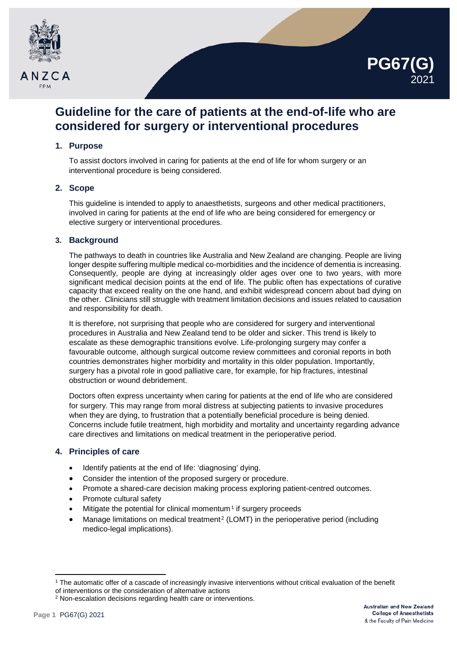



# **Guideline for the care of patients at the end-of-life who are considered for surgery or interventional procedures**

# **1. Purpose**

To assist doctors involved in caring for patients at the end of life for whom surgery or an interventional procedure is being considered.

## **2. Scope**

This guideline is intended to apply to anaesthetists, surgeons and other medical practitioners, involved in caring for patients at the end of life who are being considered for emergency or elective surgery or interventional procedures.

## **3. Background**

The pathways to death in countries like Australia and New Zealand are changing. People are living longer despite suffering multiple medical co-morbidities and the incidence of dementia is increasing. Consequently, people are dying at increasingly older ages over one to two years, with more significant medical decision points at the end of life. The public often has expectations of curative capacity that exceed reality on the one hand, and exhibit widespread concern about bad dying on the other. Clinicians still struggle with treatment limitation decisions and issues related to causation and responsibility for death.

It is therefore, not surprising that people who are considered for surgery and interventional procedures in Australia and New Zealand tend to be older and sicker. This trend is likely to escalate as these demographic transitions evolve. Life-prolonging surgery may confer a favourable outcome, although surgical outcome review committees and coronial reports in both countries demonstrates higher morbidity and mortality in this older population. Importantly, surgery has a pivotal role in good palliative care, for example, for hip fractures, intestinal obstruction or wound debridement.

Doctors often express uncertainty when caring for patients at the end of life who are considered for surgery. This may range from moral distress at subjecting patients to invasive procedures when they are dying, to frustration that a potentially beneficial procedure is being denied. Concerns include futile treatment, high morbidity and mortality and uncertainty regarding advance care directives and limitations on medical treatment in the perioperative period.

# **4. Principles of care**

- Identify patients at the end of life: 'diagnosing' dying.
- Consider the intention of the proposed surgery or procedure.
- Promote a shared-care decision making process exploring patient-centred outcomes.
- Promote cultural safety
- Mitigate the potential for clinical momentum<sup>[1](#page-0-0)</sup> if surgery proceeds
- Manage limitations on medical treatment<sup>[2](#page-0-1)</sup> (LOMT) in the perioperative period (including medico-legal implications).

<u>.</u>

<span id="page-0-0"></span><sup>1</sup> The automatic offer of a cascade of increasingly invasive interventions without critical evaluation of the benefit of interventions or the consideration of alternative actions

<span id="page-0-1"></span><sup>2</sup> Non-escalation decisions regarding health care or interventions.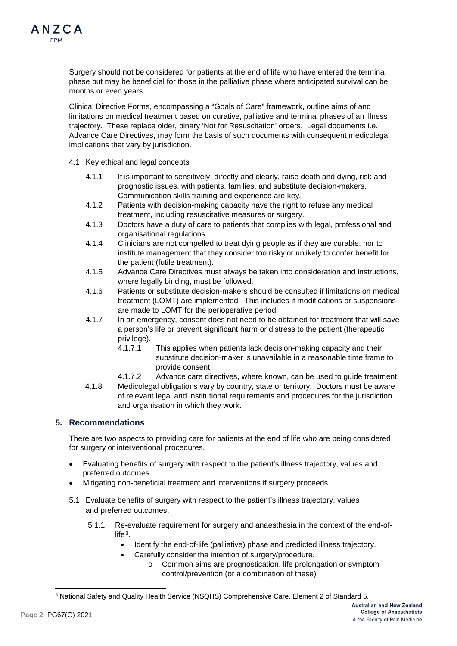Surgery should not be considered for patients at the end of life who have entered the terminal phase but may be beneficial for those in the palliative phase where anticipated survival can be months or even years.

Clinical Directive Forms, encompassing a "Goals of Care" framework, outline aims of and limitations on medical treatment based on curative, palliative and terminal phases of an illness trajectory. These replace older, binary 'Not for Resuscitation' orders. Legal documents i.e., Advance Care Directives, may form the basis of such documents with consequent medicolegal implications that vary by jurisdiction.

- 4.1 Key ethical and legal concepts
	- 4.1.1 It is important to sensitively, directly and clearly, raise death and dying, risk and prognostic issues, with patients, families, and substitute decision-makers. Communication skills training and experience are key.
	- 4.1.2 Patients with decision-making capacity have the right to refuse any medical treatment, including resuscitative measures or surgery.
	- 4.1.3 Doctors have a duty of care to patients that complies with legal, professional and organisational regulations.
	- 4.1.4 Clinicians are not compelled to treat dying people as if they are curable, nor to institute management that they consider too risky or unlikely to confer benefit for the patient (futile treatment).
	- 4.1.5 Advance Care Directives must always be taken into consideration and instructions, where legally binding, must be followed.
	- 4.1.6 Patients or substitute decision-makers should be consulted if limitations on medical treatment (LOMT) are implemented. This includes if modifications or suspensions are made to LOMT for the perioperative period.
	- 4.1.7 In an emergency, consent does not need to be obtained for treatment that will save a person's life or prevent significant harm or distress to the patient (therapeutic privilege).
		- 4.1.7.1 This applies when patients lack decision-making capacity and their substitute decision-maker is unavailable in a reasonable time frame to provide consent.
		- 4.1.7.2 Advance care directives, where known, can be used to guide treatment.
	- 4.1.8 Medicolegal obligations vary by country, state or territory. Doctors must be aware of relevant legal and institutional requirements and procedures for the jurisdiction and organisation in which they work.

# **5. Recommendations**

There are two aspects to providing care for patients at the end of life who are being considered for surgery or interventional procedures.

- Evaluating benefits of surgery with respect to the patient's illness trajectory, values and preferred outcomes.
- Mitigating non-beneficial treatment and interventions if surgery proceeds
- 5.1 Evaluate benefits of surgery with respect to the patient's illness trajectory, values and preferred outcomes.
	- 5.1.1 Re-evaluate requirement for surgery and anaesthesia in the context of the end-of $l$ ife $3$ 
		- Identify the end-of-life (palliative) phase and predicted illness trajectory.
		- Carefully consider the intention of surgery/procedure.
			- o Common aims are prognostication, life prolongation or symptom control/prevention (or a combination of these)

<span id="page-1-0"></span> $\overline{a}$ <sup>3</sup> National Safety and Quality Health Service (NSQHS) Comprehensive Care. Element 2 of Standard 5.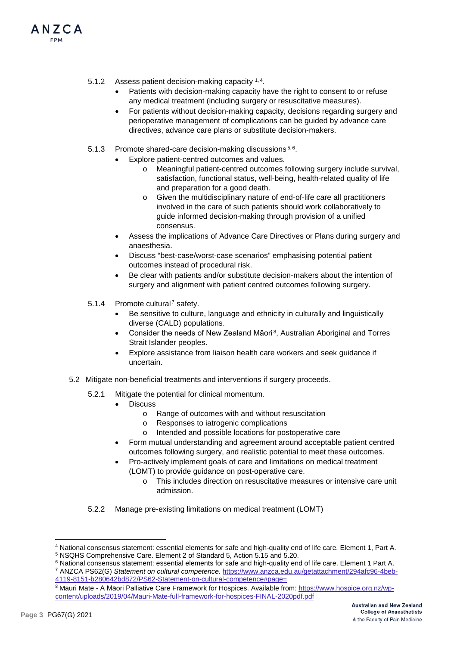

- Patients with decision-making capacity have the right to consent to or refuse any medical treatment (including surgery or resuscitative measures).
- For patients without decision-making capacity, decisions regarding surgery and perioperative management of complications can be guided by advance care directives, advance care plans or substitute decision-makers.
- [5](#page-2-1).1.3 Promote shared-care decision-making discussions 5,[6](#page-2-2).
	- Explore patient-centred outcomes and values.
		- o Meaningful patient-centred outcomes following surgery include survival, satisfaction, functional status, well-being, health-related quality of life and preparation for a good death.
		- o Given the multidisciplinary nature of end-of-life care all practitioners involved in the care of such patients should work collaboratively to guide informed decision-making through provision of a unified consensus.
	- Assess the implications of Advance Care Directives or Plans during surgery and anaesthesia.
	- Discuss "best-case/worst-case scenarios" emphasising potential patient outcomes instead of procedural risk.
	- Be clear with patients and/or substitute decision-makers about the intention of surgery and alignment with patient centred outcomes following surgery.
- 5.1.4 Promote cultural<sup>[7](#page-2-3)</sup> safety.
	- Be sensitive to culture, language and ethnicity in culturally and linguistically diverse (CALD) populations.
	- Consider the needs of New Zealand Māori<sup>8</sup>, Australian Aboriginal and Torres Strait Islander peoples.
	- Explore assistance from liaison health care workers and seek guidance if uncertain.
- 5.2 Mitigate non-beneficial treatments and interventions if surgery proceeds.
	- 5.2.1 Mitigate the potential for clinical momentum.
		- Discuss
			- o Range of outcomes with and without resuscitation
			- o Responses to iatrogenic complications
			- o Intended and possible locations for postoperative care
		- Form mutual understanding and agreement around acceptable patient centred outcomes following surgery, and realistic potential to meet these outcomes.
		- Pro-actively implement goals of care and limitations on medical treatment (LOMT) to provide guidance on post-operative care.
			- o This includes direction on resuscitative measures or intensive care unit admission.
	- 5.2.2 Manage pre-existing limitations on medical treatment (LOMT)

ANZCA

<span id="page-2-0"></span><sup>&</sup>lt;u>.</u> <sup>4</sup> National consensus statement: essential elements for safe and high-quality end of life care*.* Element 1, Part A.

<span id="page-2-1"></span><sup>5</sup> NSQHS Comprehensive Care. Element 2 of Standard 5, Action 5.15 and 5.20.

<span id="page-2-3"></span><span id="page-2-2"></span><sup>6</sup> National consensus statement: essential elements for safe and high-quality end of life care. Element 1 Part A. <sup>7</sup> ANZCA PS62(G) *Statement on cultural competence.* [https://www.anzca.edu.au/getattachment/294afc96-4beb-](https://www.anzca.edu.au/getattachment/294afc96-4beb-4119-8151-b280642bd872/PS62-Statement-on-cultural-competence#page=)[4119-8151-b280642bd872/PS62-Statement-on-cultural-competence#page=](https://www.anzca.edu.au/getattachment/294afc96-4beb-4119-8151-b280642bd872/PS62-Statement-on-cultural-competence#page=)

<span id="page-2-4"></span><sup>8</sup> Mauri Mate - A Māori Palliative Care Framework for Hospices. Available from: [https://www.hospice.org.nz/wp](https://www.hospice.org.nz/wp-content/uploads/2019/04/Mauri-Mate-full-framework-for-hospices-FINAL-2020pdf.pdf)[content/uploads/2019/04/Mauri-Mate-full-framework-for-hospices-FINAL-2020pdf.pdf](https://www.hospice.org.nz/wp-content/uploads/2019/04/Mauri-Mate-full-framework-for-hospices-FINAL-2020pdf.pdf)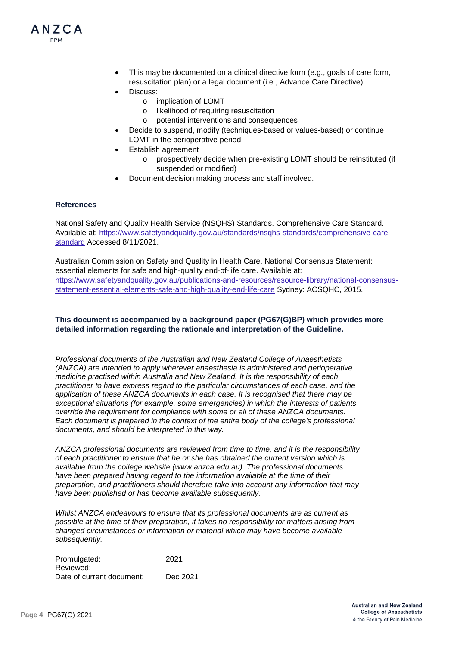

- This may be documented on a clinical directive form (e.g., goals of care form, resuscitation plan) or a legal document (i.e., Advance Care Directive)
- Discuss:
	- o implication of LOMT
	- o likelihood of requiring resuscitation
	- o potential interventions and consequences
- Decide to suspend, modify (techniques-based or values-based) or continue LOMT in the perioperative period
- Establish agreement
	- o prospectively decide when pre-existing LOMT should be reinstituted (if suspended or modified)
- Document decision making process and staff involved.

#### **References**

National Safety and Quality Health Service (NSQHS) Standards. Comprehensive Care Standard. Available at: [https://www.safetyandquality.gov.au/standards/nsqhs-standards/comprehensive-care](https://www.safetyandquality.gov.au/standards/nsqhs-standards/comprehensive-care-standard)[standard](https://www.safetyandquality.gov.au/standards/nsqhs-standards/comprehensive-care-standard) Accessed 8/11/2021.

Australian Commission on Safety and Quality in Health Care. National Consensus Statement: essential elements for safe and high-quality end-of-life care. Available at: [https://www.safetyandquality.gov.au/publications-and-resources/resource-library/national-consensus](https://www.safetyandquality.gov.au/publications-and-resources/resource-library/national-consensus-statement-essential-elements-safe-and-high-quality-end-life-care)[statement-essential-elements-safe-and-high-quality-end-life-care](https://www.safetyandquality.gov.au/publications-and-resources/resource-library/national-consensus-statement-essential-elements-safe-and-high-quality-end-life-care) Sydney: ACSQHC, 2015.

## **This document is accompanied by a background paper (PG67(G)BP) which provides more detailed information regarding the rationale and interpretation of the Guideline.**

*Professional documents of the Australian and New Zealand College of Anaesthetists (ANZCA) are intended to apply wherever anaesthesia is administered and perioperative medicine practised within Australia and New Zealand. It is the responsibility of each practitioner to have express regard to the particular circumstances of each case, and the application of these ANZCA documents in each case. It is recognised that there may be exceptional situations (for example, some emergencies) in which the interests of patients override the requirement for compliance with some or all of these ANZCA documents. Each document is prepared in the context of the entire body of the college's professional documents, and should be interpreted in this way.*

*ANZCA professional documents are reviewed from time to time, and it is the responsibility of each practitioner to ensure that he or she has obtained the current version which is available from the college website [\(www.anzca.edu.au\)](http://www.anzca.edu.au/). The professional documents have been prepared having regard to the information available at the time of their preparation, and practitioners should therefore take into account any information that may have been published or has become available subsequently.*

*Whilst ANZCA endeavours to ensure that its professional documents are as current as possible at the time of their preparation, it takes no responsibility for matters arising from changed circumstances or information or material which may have become available subsequently.*

Promulgated: 2021 Reviewed: Date of current document: Dec 2021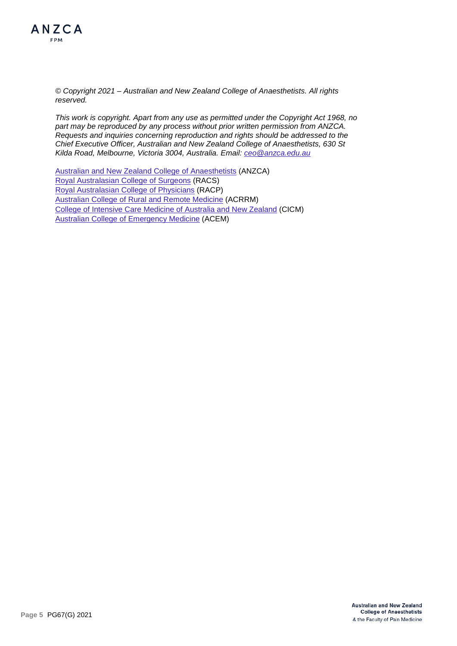

*© Copyright 2021 – Australian and New Zealand College of Anaesthetists. All rights reserved.*

*This work is copyright. Apart from any use as permitted under the Copyright Act 1968, no part may be reproduced by any process without prior written permission from ANZCA. Requests and inquiries concerning reproduction and rights should be addressed to the Chief Executive Officer, Australian and New Zealand College of Anaesthetists, 630 St Kilda Road, Melbourne, Victoria 3004, Australia. Email: [ceo@anzca.edu.au](mailto:ceo@anzca.edu.au)*

Australian and [New Zealand College of Anaesthetists](https://www.anzca.edu.au/) (ANZCA) [Royal Australasian College of Surgeons](https://www.surgeons.org/en) (RACS) [Royal Australasian College of Physicians](https://www.racp.edu.au/) (RACP) [Australian College of Rural and Remote Medicine](https://www.acrrm.org.au/) (ACRRM) [College of Intensive Care Medicine of Australia and New Zealand](https://www.cicm.org.au/Home) (CICM) [Australian College of Emergency Medicine](https://acem.org.au/) (ACEM)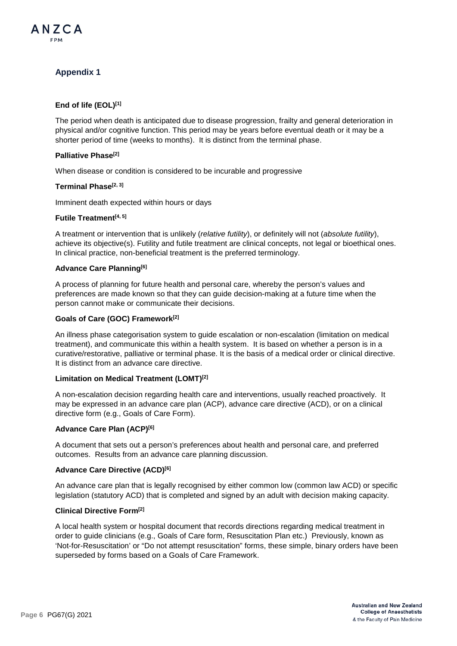

# **Appendix 1**

## **End of life (EOL)[1]**

The period when death is anticipated due to disease progression, frailty and general deterioration in physical and/or cognitive function. This period may be years before eventual death or it may be a shorter period of time (weeks to months). It is distinct from the terminal phase.

#### **Palliative Phase[2]**

When disease or condition is considered to be incurable and progressive

#### **Terminal Phase[2, 3]**

Imminent death expected within hours or days

## **Futile Treatment[4, 5]**

A treatment or intervention that is unlikely (*relative futility*), or definitely will not (*absolute futility*), achieve its objective(s). Futility and futile treatment are clinical concepts, not legal or bioethical ones. In clinical practice, non-beneficial treatment is the preferred terminology.

#### **Advance Care Planning[6]**

A process of planning for future health and personal care, whereby the person's values and preferences are made known so that they can guide decision-making at a future time when the person cannot make or communicate their decisions.

#### **Goals of Care (GOC) Framework[2]**

An illness phase categorisation system to guide escalation or non-escalation (limitation on medical treatment), and communicate this within a health system. It is based on whether a person is in a curative/restorative, palliative or terminal phase. It is the basis of a medical order or clinical directive. It is distinct from an advance care directive.

#### **Limitation on Medical Treatment (LOMT)[2]**

A non-escalation decision regarding health care and interventions, usually reached proactively. It may be expressed in an advance care plan (ACP), advance care directive (ACD), or on a clinical directive form (e.g., Goals of Care Form).

## **Advance Care Plan (ACP)[6]**

A document that sets out a person's preferences about health and personal care, and preferred outcomes. Results from an advance care planning discussion.

## **Advance Care Directive (ACD)[6]**

An advance care plan that is legally recognised by either common low (common law ACD) or specific legislation (statutory ACD) that is completed and signed by an adult with decision making capacity.

#### **Clinical Directive Form[2]**

A local health system or hospital document that records directions regarding medical treatment in order to guide clinicians (e.g., Goals of Care form, Resuscitation Plan etc.) Previously, known as 'Not-for-Resuscitation' or "Do not attempt resuscitation" forms, these simple, binary orders have been superseded by forms based on a Goals of Care Framework.